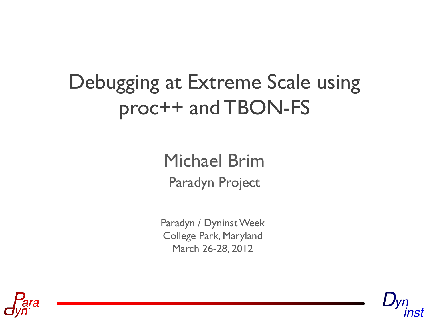# Debugging at Extreme Scale using proc++ and TBON-FS

Paradyn Project Michael Brim

Paradyn / Dyninst Week College Park, Maryland March 26-28, 2012



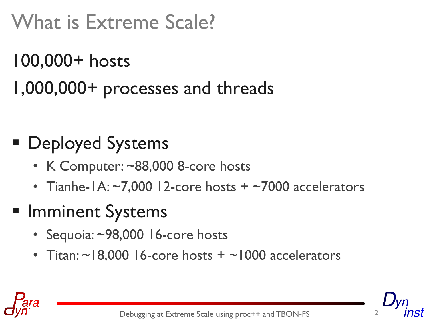# What is Extreme Scale?

# 100,000+ hosts 1,000,000+ processes and threads

# ■ Deployed Systems

- K Computer: ~88,000 8-core hosts
- Tianhe-1A:  $\sim$ 7,000 12-core hosts +  $\sim$ 7000 accelerators

#### **Imminent Systems**

- Sequoia: ~98,000 16-core hosts
- Titan:  $\sim$ 18,000 16-core hosts +  $\sim$ 1000 accelerators



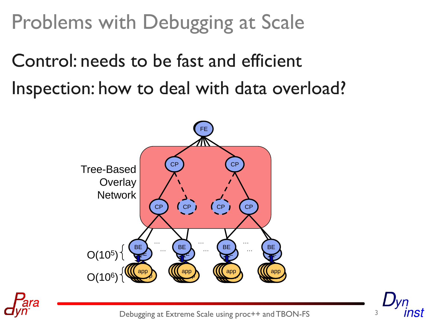Problems with Debugging at Scale

Control: needs to be fast and efficient Inspection: how to deal with data overload?





Debugging at Extreme Scale using proc++ and TBON-FS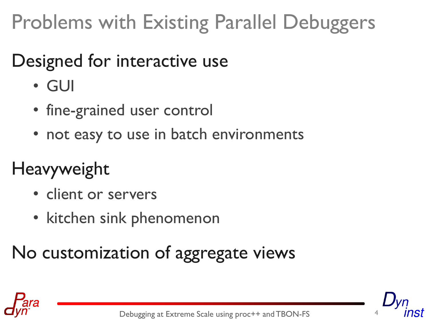# Problems with Existing Parallel Debuggers

#### Designed for interactive use

- GUI
- fine-grained user control
- not easy to use in batch environments

# Heavyweight

- client or servers
- kitchen sink phenomenon

## No customization of aggregate views



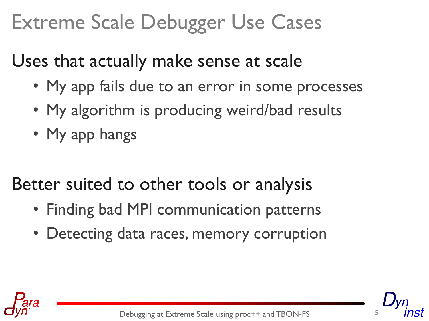# Extreme Scale Debugger Use Cases

Uses that actually make sense at scale

- My app fails due to an error in some processes
- My algorithm is producing weird/bad results
- My app hangs

Better suited to other tools or analysis

- Finding bad MPI communication patterns
- Detecting data races, memory corruption



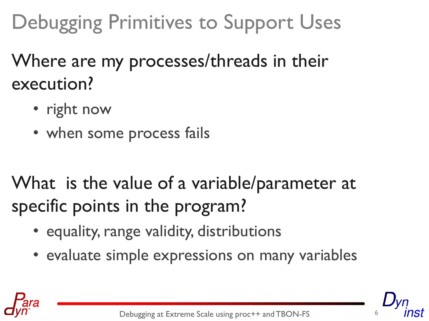# Debugging Primitives to Support Uses

Where are my processes/threads in their execution?

- right now
- when some process fails

What is the value of a variable/parameter at specific points in the program?

- equality, range validity, distributions
- evaluate simple expressions on many variables



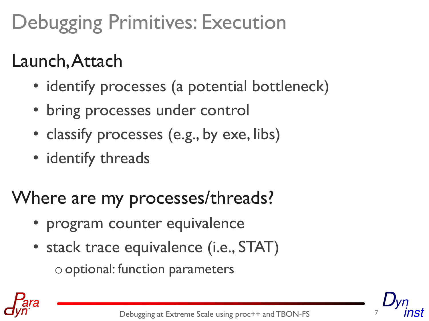# Debugging Primitives: Execution

### Launch, Attach

- identify processes (a potential bottleneck)
- bring processes under control
- classify processes (e.g., by exe, libs)
- identify threads

### Where are my processes/threads?

- program counter equivalence
- stack trace equivalence (i.e., STAT)  $\circ$  optional: function parameters



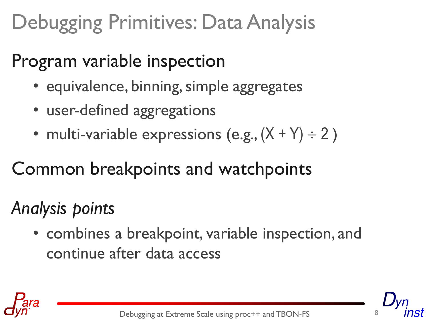# Debugging Primitives: Data Analysis

#### Program variable inspection

- equivalence, binning, simple aggregates
- user-defined aggregations
- multi-variable expressions (e.g.,  $(X + Y) \div 2$ )

#### Common breakpoints and watchpoints

#### *Analysis points*

• combines a breakpoint, variable inspection, and continue after data access



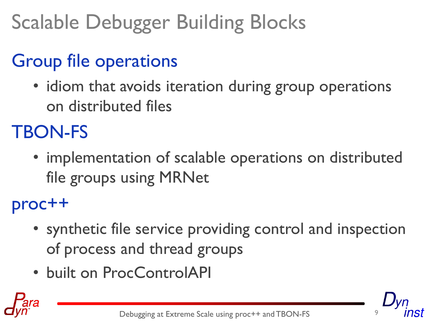# Scalable Debugger Building Blocks

# Group file operations

• idiom that avoids iteration during group operations on distributed files

### TBON-FS

• implementation of scalable operations on distributed file groups using MRNet

proc++

- synthetic file service providing control and inspection of process and thread groups
- built on ProcControlAPI



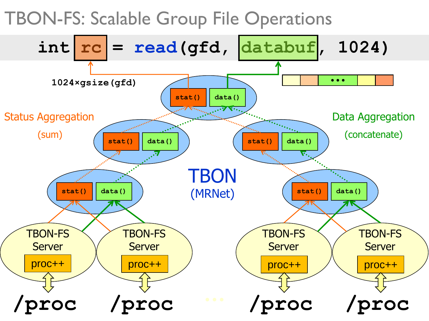TBON-FS: Scalable Group File Operations

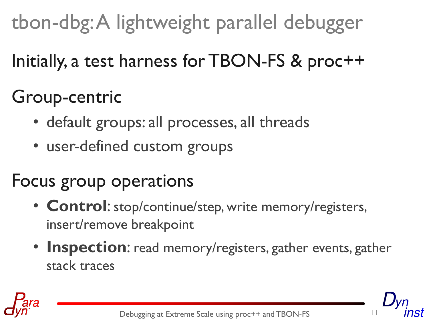tbon-dbg: A lightweight parallel debugger

Initially, a test harness for TBON-FS & proc++

### Group-centric

- default groups: all processes, all threads
- user-defined custom groups

#### Focus group operations

- **Control**: stop/continue/step, write memory/registers, insert/remove breakpoint
- **Inspection**: read memory/registers, gather events, gather stack traces

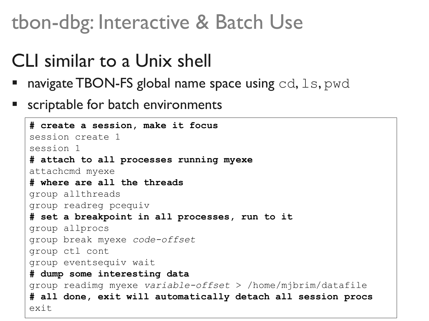### tbon-dbg: Interactive & Batch Use

#### CLI similar to a Unix shell

- $\blacksquare$  navigate TBON-FS global name space using cd,  $\text{ls}, \text{pwd}$
- scriptable for batch environments

```
# create a session, make it focus
session create 1
session 1
# attach to all processes running myexe
attachcmd myexe
# where are all the threads
group allthreads
group readreg pcequiv
# set a breakpoint in all processes, run to it
group allprocs
group break myexe code-offset
group ctl cont
group eventsequiv wait
# dump some interesting data
group readimg myexe variable-offset > /home/mjbrim/datafile
# all done, exit will automatically detach all session procs
exit
```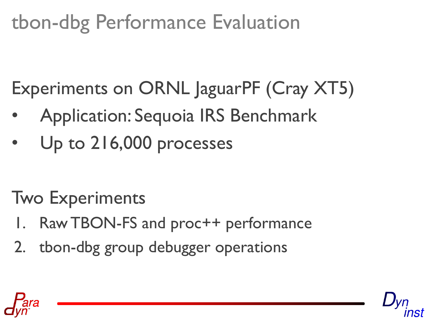# tbon-dbg Performance Evaluation

Experiments on ORNL JaguarPF (Cray XT5)

- Application: Sequoia IRS Benchmark
- Up to 216,000 processes

Two Experiments

- Raw TBON-FS and proc++ performance
- 2. tbon-dbg group debugger operations



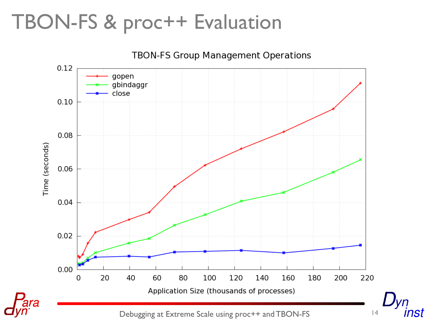## TBON-FS & proc++ Evaluation



Debugging at Extreme Scale using proc++ and TBON-FS 14

nst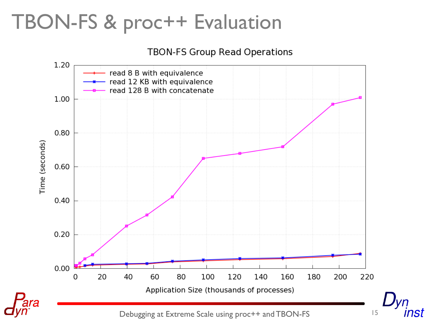# TBON-FS & proc++ Evaluation

#### **TBON-FS Group Read Operations**



nst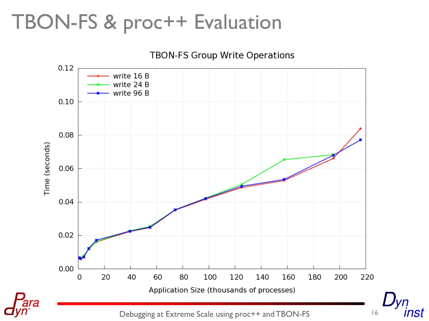# TBON-FS & proc++ Evaluation

**TBON-FS Group Write Operations**  $0.12$ write 16 B write 24 B write 96 B  $0.10$ 0.08 Time (seconds) 0.06 0.04  $0.02$ 0.00 20 60 80  $\overline{0}$ 40 100 120 140 160 180 200 220 Application Size (thousands of processes)

Debugging at Extreme Scale using proc++ and TBON-FS  $16$ 

inst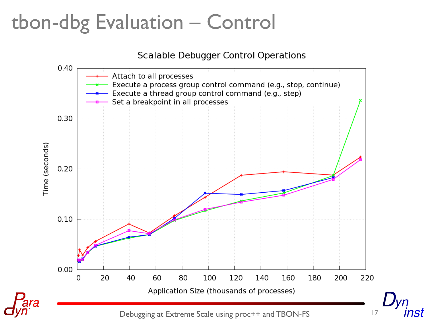## tbon-dbg Evaluation – Control

#### **Scalable Debugger Control Operations**



IST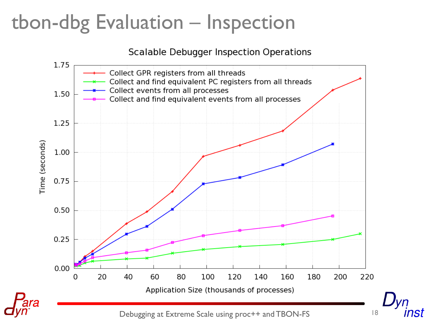# tbon-dbg Evaluation – Inspection

#### **Scalable Debugger Inspection Operations**



nst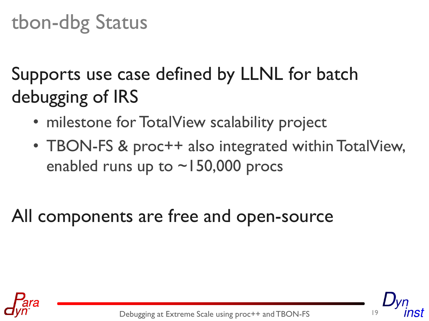# tbon-dbg Status

Supports use case defined by LLNL for batch debugging of IRS

- milestone for TotalView scalability project
- TBON-FS & proc++ also integrated within TotalView, enabled runs up to  $\sim$  150,000 procs

#### All components are free and open-source